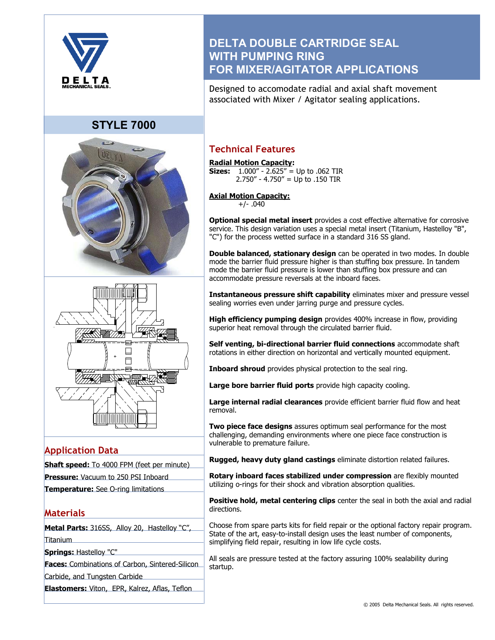

## **STYLE 7000**





## **Application Data**

**Shaft speed:** To 4000 FPM (feet per minute) **Pressure:** Vacuum to 250 PSI Inboard **Temperature:** See O-ring limitations

## **Materials**

**Metal Parts:** 316SS, Alloy 20, Hastelloy "C", Titanium

**Springs:** Hastelloy "C"

**Faces:** Combinations of Carbon, Sintered-Silicon

Carbide, and Tungsten Carbide

**Elastomers:** Viton, EPR, Kalrez, Aflas, Teflon

## **DELTA DOUBLE CARTRIDGE SEAL WITH PUMPING RING FOR MIXER/AGITATOR APPLICATIONS**

Designed to accomodate radial and axial shaft movement associated with Mixer / Agitator sealing applications.

## **Technical Features**

**Radial Motion Capacity: Sizes:** 1.000" - 2.625" = Up to .062 TIR 2.750" - 4.750" = Up to .150 TIR

## **Axial Motion Capacity:**

+/- .040

**Optional special metal insert** provides a cost effective alternative for corrosive service. This design variation uses a special metal insert (Titanium, Hastelloy "B", "C") for the process wetted surface in a standard 316 SS gland.

**Double balanced, stationary design** can be operated in two modes. In double mode the barrier fluid pressure higher is than stuffing box pressure. In tandem mode the barrier fluid pressure is lower than stuffing box pressure and can accommodate pressure reversals at the inboard faces.

**Instantaneous pressure shift capability** eliminates mixer and pressure vessel sealing worries even under jarring purge and pressure cycles.

**High efficiency pumping design** provides 400% increase in flow, providing superior heat removal through the circulated barrier fluid.

**Self venting, bi-directional barrier fluid connections** accommodate shaft rotations in either direction on horizontal and vertically mounted equipment.

**Inboard shroud** provides physical protection to the seal ring.

**Large bore barrier fluid ports** provide high capacity cooling.

**Large internal radial clearances** provide efficient barrier fluid flow and heat removal.

**Two piece face designs** assures optimum seal performance for the most challenging, demanding environments where one piece face construction is vulnerable to premature failure.

**Rugged, heavy duty gland castings** eliminate distortion related failures.

**Rotary inboard faces stabilized under compression** are flexibly mounted utilizing o-rings for their shock and vibration absorption qualities.

**Positive hold, metal centering clips** center the seal in both the axial and radial directions.

Choose from spare parts kits for field repair or the optional factory repair program. State of the art, easy-to-install design uses the least number of components, simplifying field repair, resulting in low life cycle costs.

All seals are pressure tested at the factory assuring 100% sealability during startup.